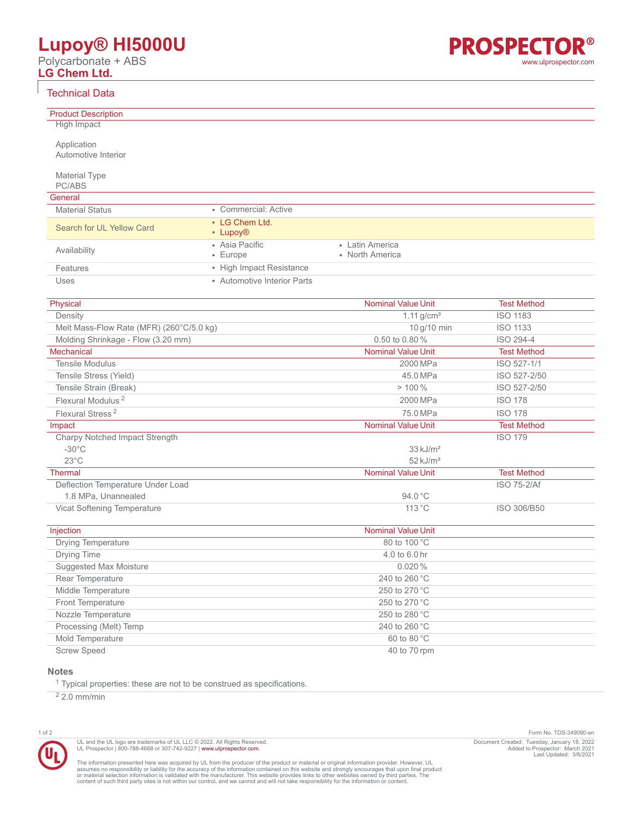# **Lupoy® HI5000U**

Polycarbonate + ABS **LG Chem Ltd.**

# Technical Data

Product Description **High Impact** 

Application Automotive Interior

Material Type PC/ABS

### $C_{\text{onoral}}$

| General                   |                                        |                                    |
|---------------------------|----------------------------------------|------------------------------------|
| <b>Material Status</b>    | • Commercial: Active                   |                                    |
| Search for UL Yellow Card | • LG Chem Ltd.<br>• Lupoy <sup>®</sup> |                                    |
| Availability              | • Asia Pacific<br>$\cdot$ Europe       | • Latin America<br>• North America |
| Features                  | • High Impact Resistance               |                                    |
| Uses                      | • Automotive Interior Parts            |                                    |

| Physical                                 | <b>Nominal Value Unit</b> | <b>Test Method</b> |
|------------------------------------------|---------------------------|--------------------|
| Density                                  | $1.11$ g/cm <sup>3</sup>  | <b>ISO 1183</b>    |
| Melt Mass-Flow Rate (MFR) (260°C/5.0 kg) | 10 g/10 min               | <b>ISO 1133</b>    |
| Molding Shrinkage - Flow (3.20 mm)       | 0.50 to 0.80%             | ISO 294-4          |
| <b>Mechanical</b>                        | <b>Nominal Value Unit</b> | <b>Test Method</b> |
| <b>Tensile Modulus</b>                   | 2000 MPa                  | ISO 527-1/1        |
| Tensile Stress (Yield)                   | 45.0 MPa                  | ISO 527-2/50       |
| Tensile Strain (Break)                   | $>100\%$                  | ISO 527-2/50       |
| Flexural Modulus <sup>2</sup>            | 2000 MPa                  | <b>ISO 178</b>     |
| Flexural Stress <sup>2</sup>             | 75.0 MPa                  | <b>ISO 178</b>     |
| Impact                                   | <b>Nominal Value Unit</b> | <b>Test Method</b> |
| Charpy Notched Impact Strength           |                           | <b>ISO 179</b>     |
| $-30^{\circ}$ C                          | $33 \text{ kJ/m}^2$       |                    |
| $23^{\circ}$ C                           | $52$ kJ/m <sup>2</sup>    |                    |
| <b>Thermal</b>                           | <b>Nominal Value Unit</b> | <b>Test Method</b> |
| Deflection Temperature Under Load        |                           | <b>ISO 75-2/Af</b> |
| 1.8 MPa, Unannealed                      | 94.0 °C                   |                    |
| Vicat Softening Temperature              | 113 °C                    | ISO 306/B50        |

| Injection                 | <b>Nominal Value Unit</b> |  |
|---------------------------|---------------------------|--|
| <b>Drying Temperature</b> | 80 to 100 °C              |  |
| Drying Time               | 4.0 to 6.0 hr             |  |
| Suggested Max Moisture    | $0.020\%$                 |  |
| Rear Temperature          | 240 to 260 $^{\circ}$ C   |  |
| Middle Temperature        | 250 to 270 $^{\circ}$ C   |  |
| <b>Front Temperature</b>  | 250 to 270 °C             |  |
| Nozzle Temperature        | 250 to 280 $^{\circ}$ C   |  |
| Processing (Melt) Temp    | 240 to 260 °C             |  |
| Mold Temperature          | $60$ to $80^{\circ}$ C    |  |
| <b>Screw Speed</b>        | 40 to 70 rpm              |  |

#### **Notes**

<sup>1</sup> Typical properties: these are not to be construed as specifications.

 $22.0$  mm/min



UL and the UL logo are trademarks of UL LLC © 2022. All Rights Reserved.<br>UL Prospector | 800-788-4668 or 307-742-9227 | [www.ulprospector.com](http://www.ulprospector.com).

The information presented here was acquired by UL from the producer of the product or material or original information provider. However, UL<br>assumes no responsibility or liability for the accuracy of the information contai